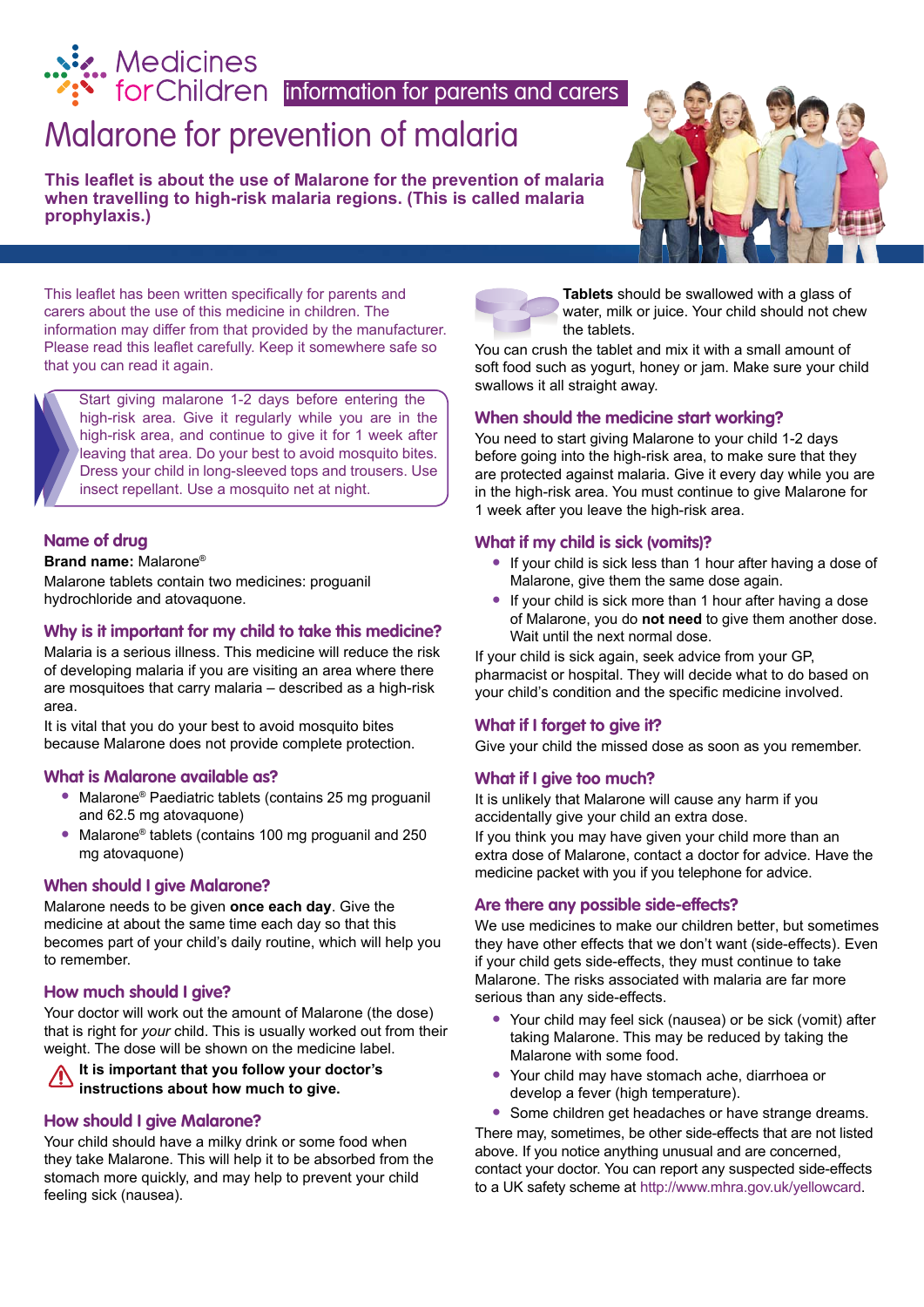# information for parents and carers<br> **information for parents and carers**

# Malarone for prevention of malaria

**This leaflet is about the use of Malarone for the prevention of malaria when travelling to high-risk malaria regions. (This is called malaria prophylaxis.)**



Start giving malarone 1-2 days before entering the high-risk area. Give it regularly while you are in the high-risk area, and continue to give it for 1 week after leaving that area. Do your best to avoid mosquito bites. Dress your child in long-sleeved tops and trousers. Use insect repellant. Use a mosquito net at night.

#### **Name of drug**

**Brand name:** Malarone®

Malarone tablets contain two medicines: proguanil hydrochloride and atovaquone.

#### **Why is it important for my child to take this medicine?**

Malaria is a serious illness. This medicine will reduce the risk of developing malaria if you are visiting an area where there are mosquitoes that carry malaria – described as a high-risk area.

It is vital that you do your best to avoid mosquito bites because Malarone does not provide complete protection.

#### **What is Malarone available as?**

- **•** Malarone® Paediatric tablets (contains 25 mg proguanil and 62.5 mg atovaquone)
- **•** Malarone® tablets (contains 100 mg proguanil and 250 mg atovaquone)

#### **When should I give Malarone?**

Malarone needs to be given **once each day**. Give the medicine at about the same time each day so that this becomes part of your child's daily routine, which will help you to remember.

#### **How much should I give?**

Your doctor will work out the amount of Malarone (the dose) that is right for *your* child. This is usually worked out from their weight. The dose will be shown on the medicine label.

## **It is important that you follow your doctor's instructions about how much to give.**

#### **How should I give Malarone?**

Your child should have a milky drink or some food when they take Malarone. This will help it to be absorbed from the stomach more quickly, and may help to prevent your child feeling sick (nausea).





**Tablets** should be swallowed with a glass of water, milk or juice. Your child should not chew the tablets.

You can crush the tablet and mix it with a small amount of soft food such as yogurt, honey or jam. Make sure your child swallows it all straight away.

#### **When should the medicine start working?**

You need to start giving Malarone to your child 1-2 days before going into the high-risk area, to make sure that they are protected against malaria. Give it every day while you are in the high-risk area. You must continue to give Malarone for 1 week after you leave the high-risk area.

#### **What if my child is sick (vomits)?**

- **•** If your child is sick less than 1 hour after having a dose of Malarone, give them the same dose again.
- **•** If your child is sick more than 1 hour after having a dose of Malarone, you do **not need** to give them another dose. Wait until the next normal dose.

If your child is sick again, seek advice from your GP, pharmacist or hospital. They will decide what to do based on your child's condition and the specific medicine involved.

#### **What if I forget to give it?**

Give your child the missed dose as soon as you remember.

#### **What if I give too much?**

It is unlikely that Malarone will cause any harm if you accidentally give your child an extra dose.

If you think you may have given your child more than an extra dose of Malarone, contact a doctor for advice. Have the medicine packet with you if you telephone for advice.

#### **Are there any possible side-effects?**

We use medicines to make our children better, but sometimes they have other effects that we don't want (side-effects). Even if your child gets side-effects, they must continue to take Malarone. The risks associated with malaria are far more serious than any side-effects.

- **•** Your child may feel sick (nausea) or be sick (vomit) after taking Malarone. This may be reduced by taking the Malarone with some food.
- **•** Your child may have stomach ache, diarrhoea or develop a fever (high temperature).
- **•** Some children get headaches or have strange dreams.

There may, sometimes, be other side-effects that are not listed above. If you notice anything unusual and are concerned, contact your doctor. You can report any suspected side-effects to a UK safety scheme at http://www.mhra.gov.uk/yellowcard.